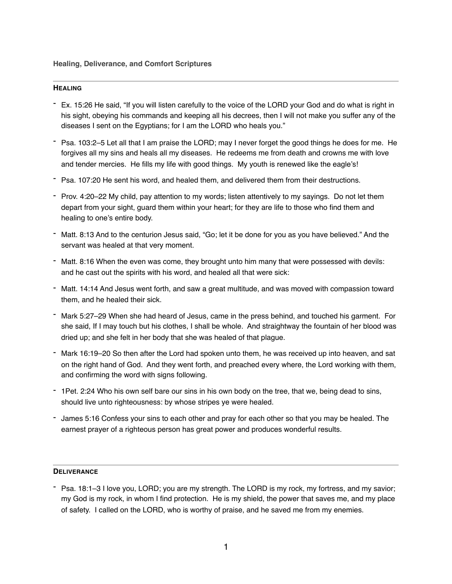#### **HEALING**

- Ex. 15:26 He said, "If you will listen carefully to the voice of the LORD your God and do what is right in his sight, obeying his commands and keeping all his decrees, then I will not make you suffer any of the diseases I sent on the Egyptians; for I am the LORD who heals you."
- Psa. 103:2–5 Let all that I am praise the LORD; may I never forget the good things he does for me. He forgives all my sins and heals all my diseases. He redeems me from death and crowns me with love and tender mercies. He fills my life with good things. My youth is renewed like the eagle's!
- Psa. 107:20 He sent his word, and healed them, and delivered them from their destructions.
- Prov. 4:20–22 My child, pay attention to my words; listen attentively to my sayings. Do not let them depart from your sight, guard them within your heart; for they are life to those who find them and healing to one's entire body.
- Matt. 8:13 And to the centurion Jesus said, "Go; let it be done for you as you have believed." And the servant was healed at that very moment.
- Matt. 8:16 When the even was come, they brought unto him many that were possessed with devils: and he cast out the spirits with his word, and healed all that were sick:
- Matt. 14:14 And Jesus went forth, and saw a great multitude, and was moved with compassion toward them, and he healed their sick.
- Mark 5:27–29 When she had heard of Jesus, came in the press behind, and touched his garment. For she said, If I may touch but his clothes, I shall be whole. And straightway the fountain of her blood was dried up; and she felt in her body that she was healed of that plague.
- Mark 16:19–20 So then after the Lord had spoken unto them, he was received up into heaven, and sat on the right hand of God. And they went forth, and preached every where, the Lord working with them, and confirming the word with signs following.
- 1Pet. 2:24 Who his own self bare our sins in his own body on the tree, that we, being dead to sins, should live unto righteousness: by whose stripes ye were healed.
- James 5:16 Confess your sins to each other and pray for each other so that you may be healed. The earnest prayer of a righteous person has great power and produces wonderful results.

#### **DELIVERANCE**

- Psa. 18:1–3 I love you, LORD; you are my strength. The LORD is my rock, my fortress, and my savior; my God is my rock, in whom I find protection. He is my shield, the power that saves me, and my place of safety. I called on the LORD, who is worthy of praise, and he saved me from my enemies.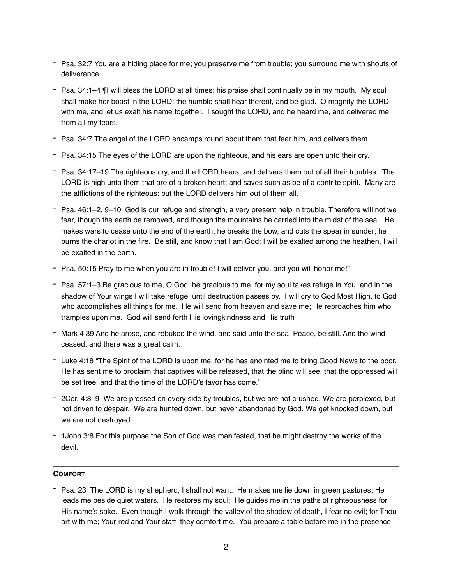- Psa. 32:7 You are a hiding place for me; you preserve me from trouble; you surround me with shouts of deliverance.
- Psa. 34:1–4 ¶I will bless the LORD at all times: his praise shall continually be in my mouth. My soul shall make her boast in the LORD: the humble shall hear thereof, and be glad. O magnify the LORD with me, and let us exalt his name together. I sought the LORD, and he heard me, and delivered me from all my fears.
- Psa. 34:7 The angel of the LORD encamps round about them that fear him, and delivers them.
- Psa. 34:15 The eyes of the LORD are upon the righteous, and his ears are open unto their cry.
- Psa. 34:17–19 The righteous cry, and the LORD hears, and delivers them out of all their troubles. The LORD is nigh unto them that are of a broken heart; and saves such as be of a contrite spirit. Many are the afflictions of the righteous: but the LORD delivers him out of them all.
- Psa. 46:1–2, 9–10 God is our refuge and strength, a very present help in trouble. Therefore will not we fear, though the earth be removed, and though the mountains be carried into the midst of the sea…He makes wars to cease unto the end of the earth; he breaks the bow, and cuts the spear in sunder; he burns the chariot in the fire. Be still, and know that I am God: I will be exalted among the heathen, I will be exalted in the earth.
- Psa. 50:15 Pray to me when you are in trouble! I will deliver you, and you will honor me!"
- Psa. 57:1–3 Be gracious to me, O God, be gracious to me, for my soul takes refuge in You; and in the shadow of Your wings I will take refuge, until destruction passes by. I will cry to God Most High, to God who accomplishes all things for me. He will send from heaven and save me; He reproaches him who tramples upon me. God will send forth His lovingkindness and His truth
- Mark 4:39 And he arose, and rebuked the wind, and said unto the sea, Peace, be still. And the wind ceased, and there was a great calm.
- Luke 4:18 "The Spirit of the LORD is upon me, for he has anointed me to bring Good News to the poor. He has sent me to proclaim that captives will be released, that the blind will see, that the oppressed will be set free, and that the time of the LORD's favor has come."
- 2Cor. 4:8–9 We are pressed on every side by troubles, but we are not crushed. We are perplexed, but not driven to despair. We are hunted down, but never abandoned by God. We get knocked down, but we are not destroyed.
- 1John 3:8 For this purpose the Son of God was manifested, that he might destroy the works of the devil.

### **COMFORT**

- Psa. 23 The LORD is my shepherd, I shall not want. He makes me lie down in green pastures; He leads me beside quiet waters. He restores my soul; He guides me in the paths of righteousness for His name's sake. Even though I walk through the valley of the shadow of death, I fear no evil; for Thou art with me; Your rod and Your staff, they comfort me. You prepare a table before me in the presence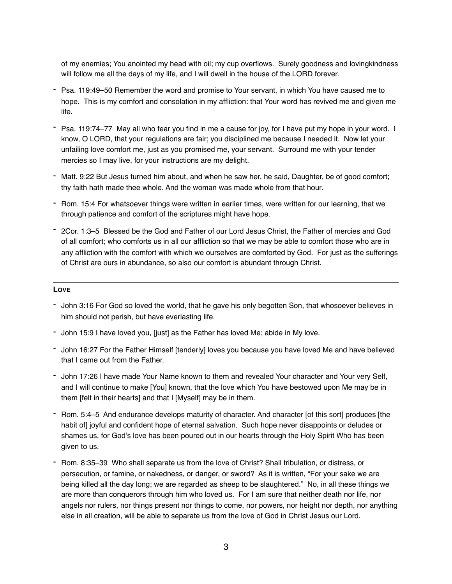of my enemies; You anointed my head with oil; my cup overflows. Surely goodness and lovingkindness will follow me all the days of my life, and I will dwell in the house of the LORD forever.

- Psa. 119:49–50 Remember the word and promise to Your servant, in which You have caused me to hope. This is my comfort and consolation in my affliction: that Your word has revived me and given me life.
- Psa. 119:74–77 May all who fear you find in me a cause for joy, for I have put my hope in your word. I know, O LORD, that your regulations are fair; you disciplined me because I needed it. Now let your unfailing love comfort me, just as you promised me, your servant. Surround me with your tender mercies so I may live, for your instructions are my delight.
- Matt. 9:22 But Jesus turned him about, and when he saw her, he said, Daughter, be of good comfort; thy faith hath made thee whole. And the woman was made whole from that hour.
- Rom. 15:4 For whatsoever things were written in earlier times, were written for our learning, that we through patience and comfort of the scriptures might have hope.
- 2Cor. 1:3–5 Blessed be the God and Father of our Lord Jesus Christ, the Father of mercies and God of all comfort; who comforts us in all our affliction so that we may be able to comfort those who are in any affliction with the comfort with which we ourselves are comforted by God. For just as the sufferings of Christ are ours in abundance, so also our comfort is abundant through Christ.

### **LOVE**

- John 3:16 For God so loved the world, that he gave his only begotten Son, that whosoever believes in him should not perish, but have everlasting life.
- John 15:9 I have loved you, [just] as the Father has loved Me; abide in My love.
- John 16:27 For the Father Himself [tenderly] loves you because you have loved Me and have believed that I came out from the Father.
- John 17:26 I have made Your Name known to them and revealed Your character and Your very Self, and I will continue to make [You] known, that the love which You have bestowed upon Me may be in them [felt in their hearts] and that I [Myself] may be in them.
- Rom. 5:4–5 And endurance develops maturity of character. And character [of this sort] produces [the habit of] joyful and confident hope of eternal salvation. Such hope never disappoints or deludes or shames us, for God's love has been poured out in our hearts through the Holy Spirit Who has been given to us.
- Rom. 8:35–39 Who shall separate us from the love of Christ? Shall tribulation, or distress, or persecution, or famine, or nakedness, or danger, or sword? As it is written, "For your sake we are being killed all the day long; we are regarded as sheep to be slaughtered." No, in all these things we are more than conquerors through him who loved us. For I am sure that neither death nor life, nor angels nor rulers, nor things present nor things to come, nor powers, nor height nor depth, nor anything else in all creation, will be able to separate us from the love of God in Christ Jesus our Lord.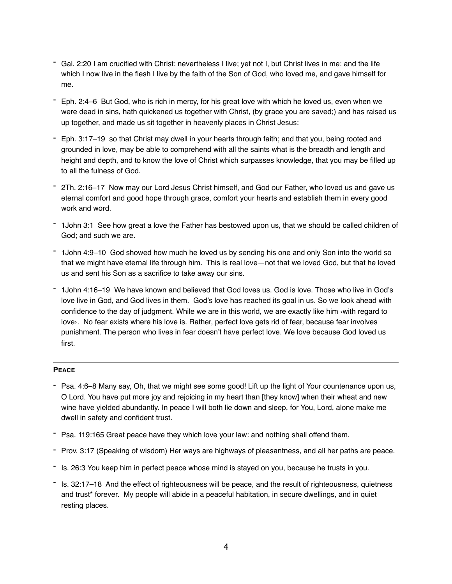- Gal. 2:20 I am crucified with Christ: nevertheless I live; yet not I, but Christ lives in me: and the life which I now live in the flesh I live by the faith of the Son of God, who loved me, and gave himself for me.
- Eph. 2:4–6 But God, who is rich in mercy, for his great love with which he loved us, even when we were dead in sins, hath quickened us together with Christ, (by grace you are saved;) and has raised us up together, and made us sit together in heavenly places in Christ Jesus:
- Eph. 3:17–19 so that Christ may dwell in your hearts through faith; and that you, being rooted and grounded in love, may be able to comprehend with all the saints what is the breadth and length and height and depth, and to know the love of Christ which surpasses knowledge, that you may be filled up to all the fulness of God.
- 2Th. 2:16–17 Now may our Lord Jesus Christ himself, and God our Father, who loved us and gave us eternal comfort and good hope through grace, comfort your hearts and establish them in every good work and word.
- 1John 3:1 See how great a love the Father has bestowed upon us, that we should be called children of God; and such we are.
- 1John 4:9–10 God showed how much he loved us by sending his one and only Son into the world so that we might have eternal life through him. This is real love—not that we loved God, but that he loved us and sent his Son as a sacrifice to take away our sins.
- 1John 4:16–19 We have known and believed that God loves us. God is love. Those who live in God's love live in God, and God lives in them. God's love has reached its goal in us. So we look ahead with confidence to the day of judgment. While we are in this world, we are exactly like him ‹with regard to love›. No fear exists where his love is. Rather, perfect love gets rid of fear, because fear involves punishment. The person who lives in fear doesn't have perfect love. We love because God loved us first.

# **PEACE**

- Psa. 4:6–8 Many say, Oh, that we might see some good! Lift up the light of Your countenance upon us, O Lord. You have put more joy and rejoicing in my heart than [they know] when their wheat and new wine have yielded abundantly. In peace I will both lie down and sleep, for You, Lord, alone make me dwell in safety and confident trust.
- Psa. 119:165 Great peace have they which love your law: and nothing shall offend them.
- Prov. 3:17 (Speaking of wisdom) Her ways are highways of pleasantness, and all her paths are peace.
- Is. 26:3 You keep him in perfect peace whose mind is stayed on you, because he trusts in you.
- Is. 32:17–18 And the effect of righteousness will be peace, and the result of righteousness, quietness and trust\* forever. My people will abide in a peaceful habitation, in secure dwellings, and in quiet resting places.